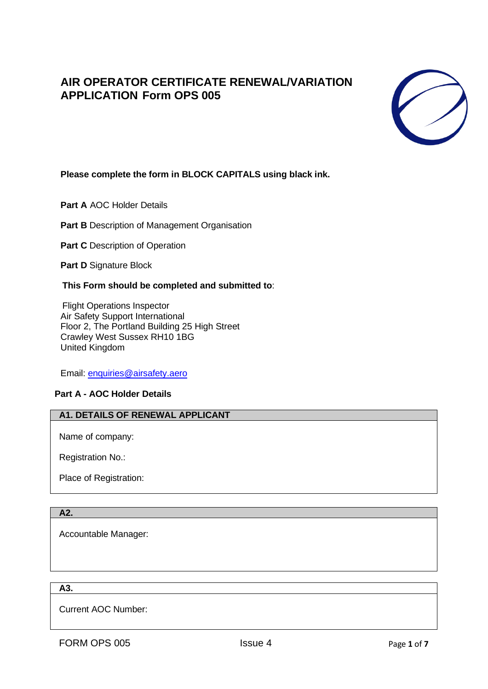# **AIR OPERATOR CERTIFICATE RENEWAL/VARIATION APPLICATION Form OPS 005**



# **Please complete the form in BLOCK CAPITALS using black ink.**

**Part A** AOC Holder Details

**Part B** Description of Management Organisation

**Part C** Description of Operation

**Part D** Signature Block

### **This Form should be completed and submitted to**:

Flight Operations Inspector Air Safety Support International Floor 2, The Portland Building 25 High Street Crawley West Sussex RH10 1BG United Kingdom

Email: [enquiries@airsafety.aero](mailto:enquiries@airsafety.aero)

## **Part A - AOC Holder Details**

### **A1. DETAILS OF RENEWAL APPLICANT**

Name of company:

Registration No.:

Place of Registration:

### **A2.**

Accountable Manager:

**A3.**

Current AOC Number: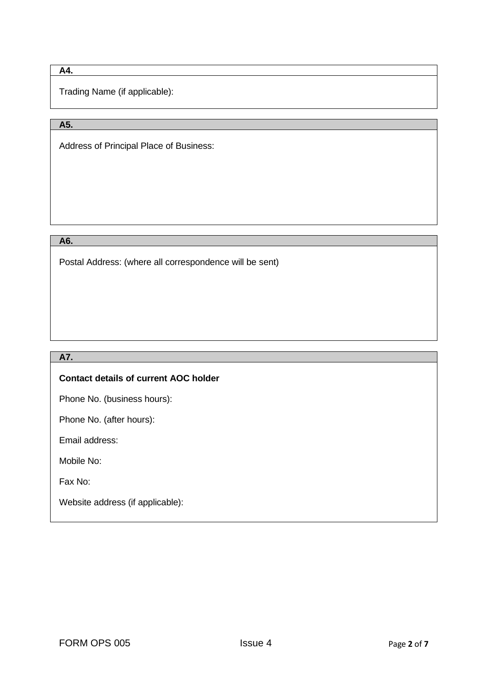# **A4.**

Trading Name (if applicable):

# **A5.**

Address of Principal Place of Business:

### **A6.**

Postal Address: (where all correspondence will be sent)

# **A7.**

### **Contact details of current AOC holder**

Phone No. (business hours):

Phone No. (after hours):

Email address:

Mobile No:

Fax No:

Website address (if applicable):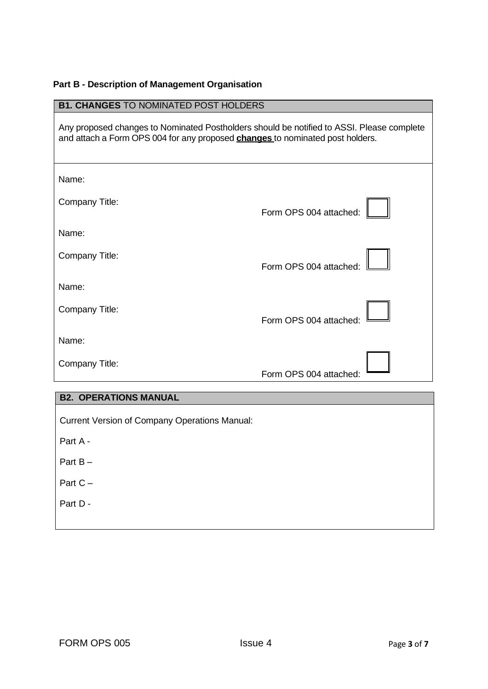# **Part B - Description of Management Organisation**

| <b>B1. CHANGES TO NOMINATED POST HOLDERS</b>                                                                                                                                      |                        |
|-----------------------------------------------------------------------------------------------------------------------------------------------------------------------------------|------------------------|
| Any proposed changes to Nominated Postholders should be notified to ASSI. Please complete<br>and attach a Form OPS 004 for any proposed <b>changes</b> to nominated post holders. |                        |
| Name:                                                                                                                                                                             |                        |
| Company Title:                                                                                                                                                                    | Form OPS 004 attached: |
| Name:                                                                                                                                                                             |                        |
| Company Title:                                                                                                                                                                    | Form OPS 004 attached: |
| Name:                                                                                                                                                                             |                        |
| Company Title:                                                                                                                                                                    | Form OPS 004 attached: |
| Name:                                                                                                                                                                             |                        |
| Company Title:                                                                                                                                                                    | Form OPS 004 attached: |
|                                                                                                                                                                                   |                        |

### **B2. OPERATIONS MANUAL**

Current Version of Company Operations Manual:

Part A -

- Part B –
- Part C –
- Part D -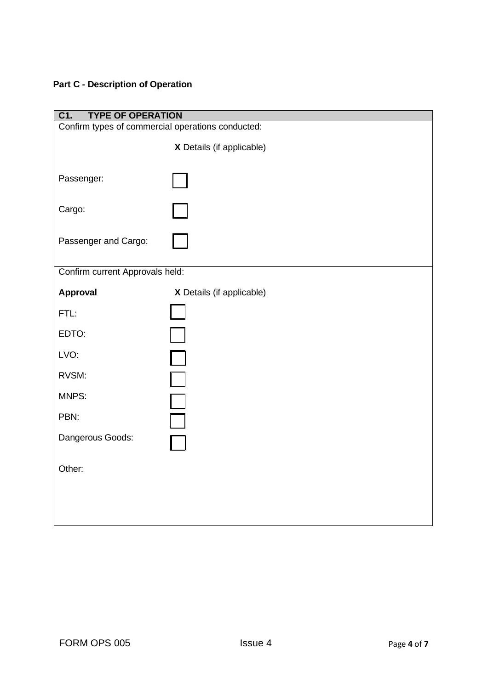# **Part C - Description of Operation**

| C1.<br><b>TYPE OF OPERATION</b>                   |                           |  |  |
|---------------------------------------------------|---------------------------|--|--|
| Confirm types of commercial operations conducted: |                           |  |  |
|                                                   | X Details (if applicable) |  |  |
| Passenger:                                        |                           |  |  |
| Cargo:                                            |                           |  |  |
| Passenger and Cargo:                              |                           |  |  |
| Confirm current Approvals held:                   |                           |  |  |
| <b>Approval</b>                                   | X Details (if applicable) |  |  |
| FTL:                                              |                           |  |  |
| EDTO:                                             |                           |  |  |
| LVO:                                              | $\Box$                    |  |  |
| RVSM:                                             | $\Box$                    |  |  |
| MNPS:                                             |                           |  |  |
| PBN:                                              | ٦                         |  |  |
| Dangerous Goods:                                  |                           |  |  |
| Other:                                            |                           |  |  |
|                                                   |                           |  |  |
|                                                   |                           |  |  |
|                                                   |                           |  |  |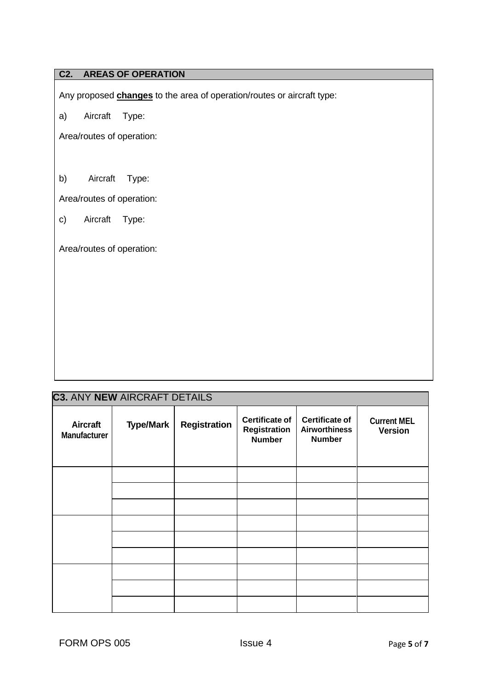# **C2. AREAS OF OPERATION**

Any proposed **changes** to the area of operation/routes or aircraft type:

a) Aircraft Type:

Area/routes of operation:

b) Aircraft Type:

Area/routes of operation:

c) Aircraft Type:

Area/routes of operation:

| <b>C3. ANY NEW AIRCRAFT DETAILS</b>    |                  |                     |                                                               |                                                                |                                      |
|----------------------------------------|------------------|---------------------|---------------------------------------------------------------|----------------------------------------------------------------|--------------------------------------|
| <b>Aircraft</b><br><b>Manufacturer</b> | <b>Type/Mark</b> | <b>Registration</b> | <b>Certificate of</b><br><b>Registration</b><br><b>Number</b> | <b>Certificate of</b><br><b>Airworthiness</b><br><b>Number</b> | <b>Current MEL</b><br><b>Version</b> |
|                                        |                  |                     |                                                               |                                                                |                                      |
|                                        |                  |                     |                                                               |                                                                |                                      |
|                                        |                  |                     |                                                               |                                                                |                                      |
|                                        |                  |                     |                                                               |                                                                |                                      |
|                                        |                  |                     |                                                               |                                                                |                                      |
|                                        |                  |                     |                                                               |                                                                |                                      |
|                                        |                  |                     |                                                               |                                                                |                                      |
|                                        |                  |                     |                                                               |                                                                |                                      |
|                                        |                  |                     |                                                               |                                                                |                                      |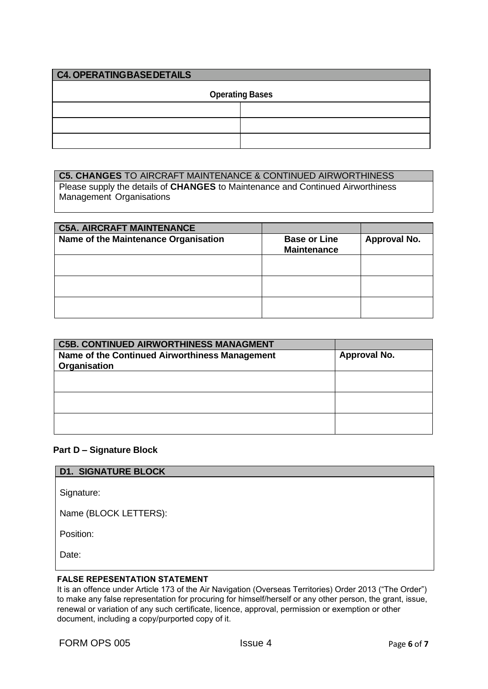| <b>C4. OPERATINGBASEDETAILS</b> |  |  |
|---------------------------------|--|--|
| <b>Operating Bases</b>          |  |  |
|                                 |  |  |
|                                 |  |  |
|                                 |  |  |

### **C5. CHANGES** TO AIRCRAFT MAINTENANCE & CONTINUED AIRWORTHINESS

Please supply the details of **CHANGES** to Maintenance and Continued Airworthiness Management Organisations

| <b>C5A. AIRCRAFT MAINTENANCE</b>     |                                           |                     |
|--------------------------------------|-------------------------------------------|---------------------|
| Name of the Maintenance Organisation | <b>Base or Line</b><br><b>Maintenance</b> | <b>Approval No.</b> |
|                                      |                                           |                     |
|                                      |                                           |                     |
|                                      |                                           |                     |

| <b>C5B. CONTINUED AIRWORTHINESS MANAGMENT</b>                  |              |
|----------------------------------------------------------------|--------------|
| Name of the Continued Airworthiness Management<br>Organisation | Approval No. |
|                                                                |              |
|                                                                |              |
|                                                                |              |

### **Part D – Signature Block**

## **D1. SIGNATURE BLOCK**

Signature:

Name (BLOCK LETTERS):

Position:

Date:

#### **FALSE REPESENTATION STATEMENT**

It is an offence under Article 173 of the Air Navigation (Overseas Territories) Order 2013 ("The Order") to make any false representation for procuring for himself/herself or any other person, the grant, issue, renewal or variation of any such certificate, licence, approval, permission or exemption or other document, including a copy/purported copy of it.